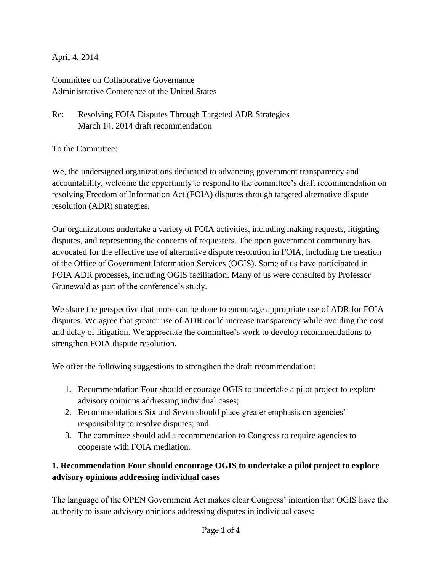### April 4, 2014

Committee on Collaborative Governance Administrative Conference of the United States

## Re: Resolving FOIA Disputes Through Targeted ADR Strategies March 14, 2014 draft recommendation

To the Committee:

We, the undersigned organizations dedicated to advancing government transparency and accountability, welcome the opportunity to respond to the committee's draft recommendation on resolving Freedom of Information Act (FOIA) disputes through targeted alternative dispute resolution (ADR) strategies.

Our organizations undertake a variety of FOIA activities, including making requests, litigating disputes, and representing the concerns of requesters. The open government community has advocated for the effective use of alternative dispute resolution in FOIA, including the creation of the Office of Government Information Services (OGIS). Some of us have participated in FOIA ADR processes, including OGIS facilitation. Many of us were consulted by Professor Grunewald as part of the conference's study.

We share the perspective that more can be done to encourage appropriate use of ADR for FOIA disputes. We agree that greater use of ADR could increase transparency while avoiding the cost and delay of litigation. We appreciate the committee's work to develop recommendations to strengthen FOIA dispute resolution.

We offer the following suggestions to strengthen the draft recommendation:

- 1. Recommendation Four should encourage OGIS to undertake a pilot project to explore advisory opinions addressing individual cases;
- 2. Recommendations Six and Seven should place greater emphasis on agencies' responsibility to resolve disputes; and
- 3. The committee should add a recommendation to Congress to require agencies to cooperate with FOIA mediation.

# **1. Recommendation Four should encourage OGIS to undertake a pilot project to explore advisory opinions addressing individual cases**

The language of the OPEN Government Act makes clear Congress' intention that OGIS have the authority to issue advisory opinions addressing disputes in individual cases: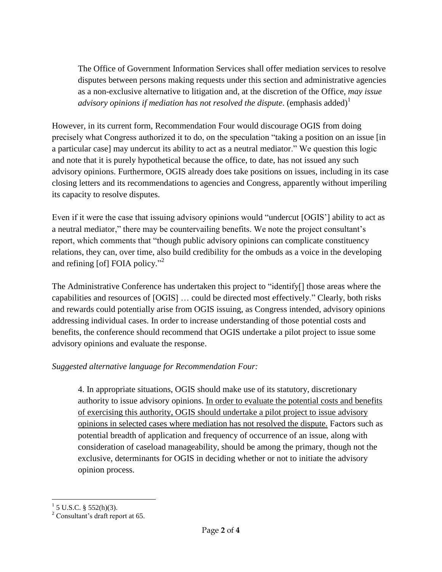The Office of Government Information Services shall offer mediation services to resolve disputes between persons making requests under this section and administrative agencies as a non-exclusive alternative to litigation and, at the discretion of the Office, *may issue advisory opinions if mediation has not resolved the dispute.* (emphasis added)<sup>1</sup>

However, in its current form, Recommendation Four would discourage OGIS from doing precisely what Congress authorized it to do, on the speculation "taking a position on an issue [in a particular case] may undercut its ability to act as a neutral mediator." We question this logic and note that it is purely hypothetical because the office, to date, has not issued any such advisory opinions. Furthermore, OGIS already does take positions on issues, including in its case closing letters and its recommendations to agencies and Congress, apparently without imperiling its capacity to resolve disputes.

Even if it were the case that issuing advisory opinions would "undercut [OGIS'] ability to act as a neutral mediator," there may be countervailing benefits. We note the project consultant's report, which comments that "though public advisory opinions can complicate constituency relations, they can, over time, also build credibility for the ombuds as a voice in the developing and refining [of] FOIA policy."<sup>2</sup>

The Administrative Conference has undertaken this project to "identify[] those areas where the capabilities and resources of [OGIS] … could be directed most effectively." Clearly, both risks and rewards could potentially arise from OGIS issuing, as Congress intended, advisory opinions addressing individual cases. In order to increase understanding of those potential costs and benefits, the conference should recommend that OGIS undertake a pilot project to issue some advisory opinions and evaluate the response.

### *Suggested alternative language for Recommendation Four:*

4. In appropriate situations, OGIS should make use of its statutory, discretionary authority to issue advisory opinions. In order to evaluate the potential costs and benefits of exercising this authority, OGIS should undertake a pilot project to issue advisory opinions in selected cases where mediation has not resolved the dispute. Factors such as potential breadth of application and frequency of occurrence of an issue, along with consideration of caseload manageability, should be among the primary, though not the exclusive, determinants for OGIS in deciding whether or not to initiate the advisory opinion process.

 $\frac{1}{1}$  5 U.S.C. § 552(h)(3).

 $2^2$  Consultant's draft report at 65.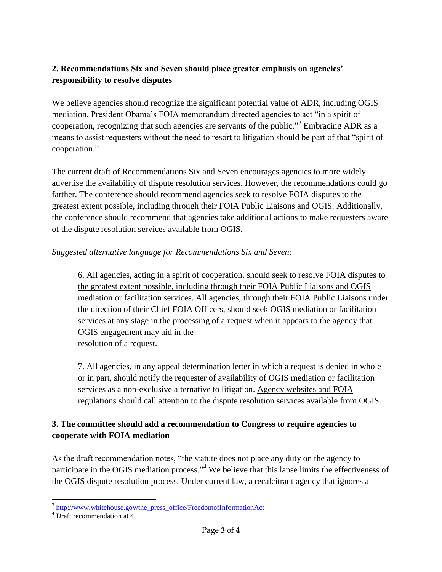# **2. Recommendations Six and Seven should place greater emphasis on agencies' responsibility to resolve disputes**

We believe agencies should recognize the significant potential value of ADR, including OGIS mediation. President Obama's FOIA memorandum directed agencies to act "in a spirit of cooperation, recognizing that such agencies are servants of the public."<sup>3</sup> Embracing ADR as a means to assist requesters without the need to resort to litigation should be part of that "spirit of cooperation."

The current draft of Recommendations Six and Seven encourages agencies to more widely advertise the availability of dispute resolution services. However, the recommendations could go farther. The conference should recommend agencies seek to resolve FOIA disputes to the greatest extent possible, including through their FOIA Public Liaisons and OGIS. Additionally, the conference should recommend that agencies take additional actions to make requesters aware of the dispute resolution services available from OGIS.

#### *Suggested alternative language for Recommendations Six and Seven:*

6. All agencies, acting in a spirit of cooperation, should seek to resolve FOIA disputes to the greatest extent possible, including through their FOIA Public Liaisons and OGIS mediation or facilitation services. All agencies, through their FOIA Public Liaisons under the direction of their Chief FOIA Officers, should seek OGIS mediation or facilitation services at any stage in the processing of a request when it appears to the agency that OGIS engagement may aid in the resolution of a request.

7. All agencies, in any appeal determination letter in which a request is denied in whole or in part, should notify the requester of availability of OGIS mediation or facilitation services as a non-exclusive alternative to litigation. Agency websites and FOIA regulations should call attention to the dispute resolution services available from OGIS.

### **3. The committee should add a recommendation to Congress to require agencies to cooperate with FOIA mediation**

As the draft recommendation notes, "the statute does not place any duty on the agency to participate in the OGIS mediation process."<sup>4</sup> We believe that this lapse limits the effectiveness of the OGIS dispute resolution process. Under current law, a recalcitrant agency that ignores a

<sup>&</sup>lt;sup>3</sup> [http://www.whitehouse.gov/the\\_press\\_office/FreedomofInformationAct](http://www.whitehouse.gov/the_press_office/FreedomofInformationAct)

<sup>4</sup> Draft recommendation at 4.